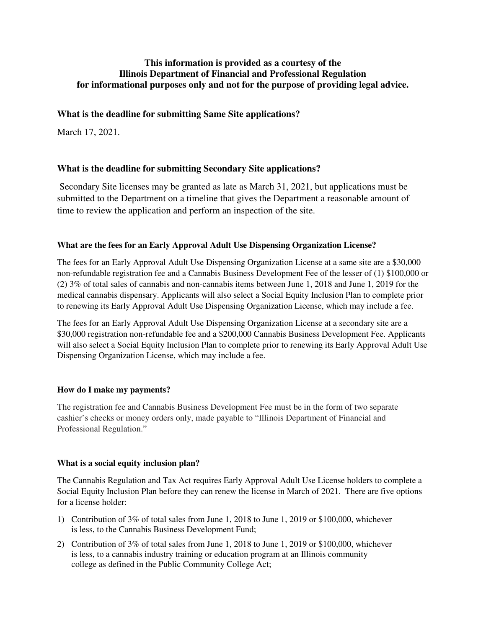# **This information is provided as a courtesy of the Illinois Department of Financial and Professional Regulation for informational purposes only and not for the purpose of providing legal advice.**

# **What is the deadline for submitting Same Site applications?**

March 17, 2021.

# **What is the deadline for submitting Secondary Site applications?**

 Secondary Site licenses may be granted as late as March 31, 2021, but applications must be submitted to the Department on a timeline that gives the Department a reasonable amount of time to review the application and perform an inspection of the site.

### **What are the fees for an Early Approval Adult Use Dispensing Organization License?**

The fees for an Early Approval Adult Use Dispensing Organization License at a same site are a \$30,000 non-refundable registration fee and a Cannabis Business Development Fee of the lesser of (1) \$100,000 or (2) 3% of total sales of cannabis and non-cannabis items between June 1, 2018 and June 1, 2019 for the medical cannabis dispensary. Applicants will also select a Social Equity Inclusion Plan to complete prior to renewing its Early Approval Adult Use Dispensing Organization License, which may include a fee.

The fees for an Early Approval Adult Use Dispensing Organization License at a secondary site are a \$30,000 registration non-refundable fee and a \$200,000 Cannabis Business Development Fee. Applicants will also select a Social Equity Inclusion Plan to complete prior to renewing its Early Approval Adult Use Dispensing Organization License, which may include a fee.

## **How do I make my payments?**

The registration fee and Cannabis Business Development Fee must be in the form of two separate cashier's checks or money orders only, made payable to "Illinois Department of Financial and Professional Regulation."

## **What is a social equity inclusion plan?**

The Cannabis Regulation and Tax Act requires Early Approval Adult Use License holders to complete a Social Equity Inclusion Plan before they can renew the license in March of 2021. There are five options for a license holder:

- 1) Contribution of 3% of total sales from June 1, 2018 to June 1, 2019 or \$100,000, whichever is less, to the Cannabis Business Development Fund;
- 2) Contribution of 3% of total sales from June 1, 2018 to June 1, 2019 or \$100,000, whichever is less, to a cannabis industry training or education program at an Illinois community college as defined in the Public Community College Act;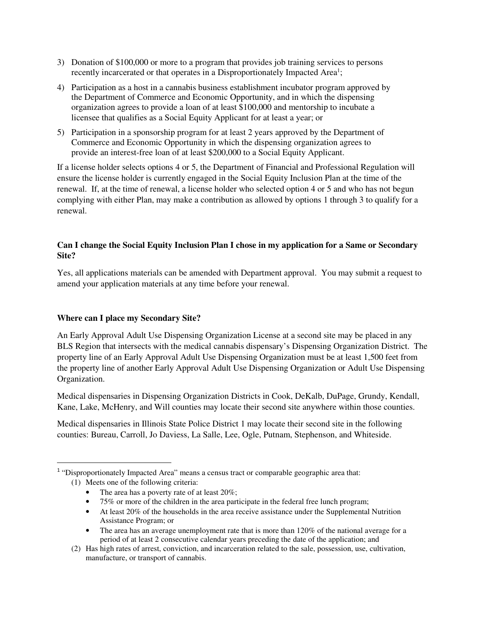- 3) Donation of \$100,000 or more to a program that provides job training services to persons recently incarcerated or that operates in a Disproportionately Impacted Area<sup>1</sup>;
- 4) Participation as a host in a cannabis business establishment incubator program approved by the Department of Commerce and Economic Opportunity, and in which the dispensing organization agrees to provide a loan of at least \$100,000 and mentorship to incubate a licensee that qualifies as a Social Equity Applicant for at least a year; or
- 5) Participation in a sponsorship program for at least 2 years approved by the Department of Commerce and Economic Opportunity in which the dispensing organization agrees to provide an interest-free loan of at least \$200,000 to a Social Equity Applicant.

If a license holder selects options 4 or 5, the Department of Financial and Professional Regulation will ensure the license holder is currently engaged in the Social Equity Inclusion Plan at the time of the renewal. If, at the time of renewal, a license holder who selected option 4 or 5 and who has not begun complying with either Plan, may make a contribution as allowed by options 1 through 3 to qualify for a renewal.

## **Can I change the Social Equity Inclusion Plan I chose in my application for a Same or Secondary Site?**

Yes, all applications materials can be amended with Department approval. You may submit a request to amend your application materials at any time before your renewal.

## **Where can I place my Secondary Site?**

l

An Early Approval Adult Use Dispensing Organization License at a second site may be placed in any BLS Region that intersects with the medical cannabis dispensary's Dispensing Organization District. The property line of an Early Approval Adult Use Dispensing Organization must be at least 1,500 feet from the property line of another Early Approval Adult Use Dispensing Organization or Adult Use Dispensing Organization.

Medical dispensaries in Dispensing Organization Districts in Cook, DeKalb, DuPage, Grundy, Kendall, Kane, Lake, McHenry, and Will counties may locate their second site anywhere within those counties.

Medical dispensaries in Illinois State Police District 1 may locate their second site in the following counties: Bureau, Carroll, Jo Daviess, La Salle, Lee, Ogle, Putnam, Stephenson, and Whiteside.

- The area has a poverty rate of at least 20%;
- 75% or more of the children in the area participate in the federal free lunch program;
- At least 20% of the households in the area receive assistance under the Supplemental Nutrition Assistance Program; or
- The area has an average unemployment rate that is more than 120% of the national average for a period of at least 2 consecutive calendar years preceding the date of the application; and

<sup>&</sup>lt;sup>1</sup> "Disproportionately Impacted Area" means a census tract or comparable geographic area that: (1) Meets one of the following criteria:

<sup>(2)</sup> Has high rates of arrest, conviction, and incarceration related to the sale, possession, use, cultivation, manufacture, or transport of cannabis.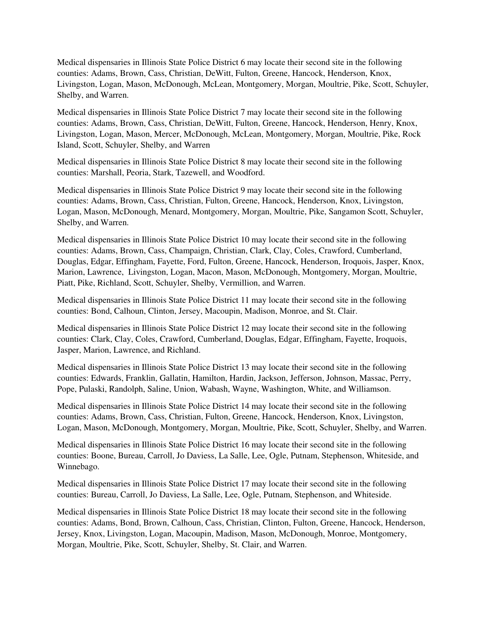Medical dispensaries in Illinois State Police District 6 may locate their second site in the following counties: Adams, Brown, Cass, Christian, DeWitt, Fulton, Greene, Hancock, Henderson, Knox, Livingston, Logan, Mason, McDonough, McLean, Montgomery, Morgan, Moultrie, Pike, Scott, Schuyler, Shelby, and Warren.

Medical dispensaries in Illinois State Police District 7 may locate their second site in the following counties: Adams, Brown, Cass, Christian, DeWitt, Fulton, Greene, Hancock, Henderson, Henry, Knox, Livingston, Logan, Mason, Mercer, McDonough, McLean, Montgomery, Morgan, Moultrie, Pike, Rock Island, Scott, Schuyler, Shelby, and Warren

Medical dispensaries in Illinois State Police District 8 may locate their second site in the following counties: Marshall, Peoria, Stark, Tazewell, and Woodford.

Medical dispensaries in Illinois State Police District 9 may locate their second site in the following counties: Adams, Brown, Cass, Christian, Fulton, Greene, Hancock, Henderson, Knox, Livingston, Logan, Mason, McDonough, Menard, Montgomery, Morgan, Moultrie, Pike, Sangamon Scott, Schuyler, Shelby, and Warren.

Medical dispensaries in Illinois State Police District 10 may locate their second site in the following counties: Adams, Brown, Cass, Champaign, Christian, Clark, Clay, Coles, Crawford, Cumberland, Douglas, Edgar, Effingham, Fayette, Ford, Fulton, Greene, Hancock, Henderson, Iroquois, Jasper, Knox, Marion, Lawrence, Livingston, Logan, Macon, Mason, McDonough, Montgomery, Morgan, Moultrie, Piatt, Pike, Richland, Scott, Schuyler, Shelby, Vermillion, and Warren.

Medical dispensaries in Illinois State Police District 11 may locate their second site in the following counties: Bond, Calhoun, Clinton, Jersey, Macoupin, Madison, Monroe, and St. Clair.

Medical dispensaries in Illinois State Police District 12 may locate their second site in the following counties: Clark, Clay, Coles, Crawford, Cumberland, Douglas, Edgar, Effingham, Fayette, Iroquois, Jasper, Marion, Lawrence, and Richland.

Medical dispensaries in Illinois State Police District 13 may locate their second site in the following counties: Edwards, Franklin, Gallatin, Hamilton, Hardin, Jackson, Jefferson, Johnson, Massac, Perry, Pope, Pulaski, Randolph, Saline, Union, Wabash, Wayne, Washington, White, and Williamson.

Medical dispensaries in Illinois State Police District 14 may locate their second site in the following counties: Adams, Brown, Cass, Christian, Fulton, Greene, Hancock, Henderson, Knox, Livingston, Logan, Mason, McDonough, Montgomery, Morgan, Moultrie, Pike, Scott, Schuyler, Shelby, and Warren.

Medical dispensaries in Illinois State Police District 16 may locate their second site in the following counties: Boone, Bureau, Carroll, Jo Daviess, La Salle, Lee, Ogle, Putnam, Stephenson, Whiteside, and Winnebago.

Medical dispensaries in Illinois State Police District 17 may locate their second site in the following counties: Bureau, Carroll, Jo Daviess, La Salle, Lee, Ogle, Putnam, Stephenson, and Whiteside.

Medical dispensaries in Illinois State Police District 18 may locate their second site in the following counties: Adams, Bond, Brown, Calhoun, Cass, Christian, Clinton, Fulton, Greene, Hancock, Henderson, Jersey, Knox, Livingston, Logan, Macoupin, Madison, Mason, McDonough, Monroe, Montgomery, Morgan, Moultrie, Pike, Scott, Schuyler, Shelby, St. Clair, and Warren.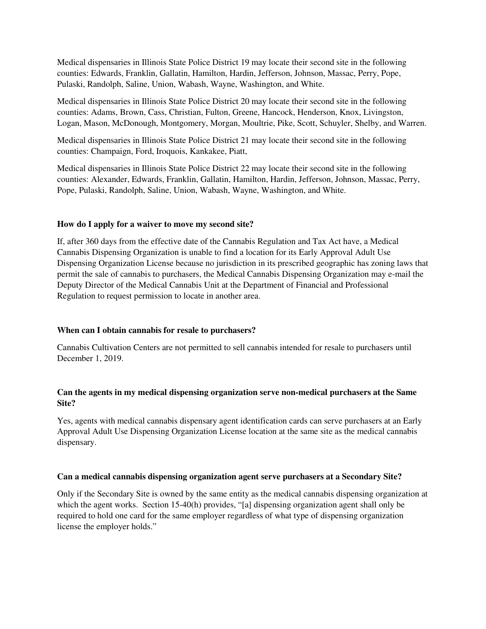Medical dispensaries in Illinois State Police District 19 may locate their second site in the following counties: Edwards, Franklin, Gallatin, Hamilton, Hardin, Jefferson, Johnson, Massac, Perry, Pope, Pulaski, Randolph, Saline, Union, Wabash, Wayne, Washington, and White.

Medical dispensaries in Illinois State Police District 20 may locate their second site in the following counties: Adams, Brown, Cass, Christian, Fulton, Greene, Hancock, Henderson, Knox, Livingston, Logan, Mason, McDonough, Montgomery, Morgan, Moultrie, Pike, Scott, Schuyler, Shelby, and Warren.

Medical dispensaries in Illinois State Police District 21 may locate their second site in the following counties: Champaign, Ford, Iroquois, Kankakee, Piatt,

Medical dispensaries in Illinois State Police District 22 may locate their second site in the following counties: Alexander, Edwards, Franklin, Gallatin, Hamilton, Hardin, Jefferson, Johnson, Massac, Perry, Pope, Pulaski, Randolph, Saline, Union, Wabash, Wayne, Washington, and White.

#### **How do I apply for a waiver to move my second site?**

If, after 360 days from the effective date of the Cannabis Regulation and Tax Act have, a Medical Cannabis Dispensing Organization is unable to find a location for its Early Approval Adult Use Dispensing Organization License because no jurisdiction in its prescribed geographic has zoning laws that permit the sale of cannabis to purchasers, the Medical Cannabis Dispensing Organization may e-mail the Deputy Director of the Medical Cannabis Unit at the Department of Financial and Professional Regulation to request permission to locate in another area.

### **When can I obtain cannabis for resale to purchasers?**

Cannabis Cultivation Centers are not permitted to sell cannabis intended for resale to purchasers until December 1, 2019.

### **Can the agents in my medical dispensing organization serve non-medical purchasers at the Same Site?**

Yes, agents with medical cannabis dispensary agent identification cards can serve purchasers at an Early Approval Adult Use Dispensing Organization License location at the same site as the medical cannabis dispensary.

### **Can a medical cannabis dispensing organization agent serve purchasers at a Secondary Site?**

Only if the Secondary Site is owned by the same entity as the medical cannabis dispensing organization at which the agent works. Section 15-40(h) provides, "[a] dispensing organization agent shall only be required to hold one card for the same employer regardless of what type of dispensing organization license the employer holds."